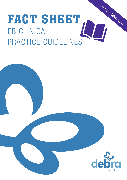# FACT SHEET EB CLINICAL PRACTICE GUIDELINES International Collaboration

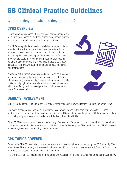## EB Clinical Practice Guidelines

#### What are they and why are they important?

#### CPGS OVERVIEW

Clinical practice guidelines (CPGs) are a set of recommendations for clinical care, based on evidence gained from medical science and, where no formal evidence exists, expert opinion.

The CPGs help patients understand available treatment options – medicinal, surgical, etc. – and empower patients to have informed consent to work in partnership with their clinicians in developing their own clinical plan. For healthcare professionals, the CPGs are useful in recommending treatment for specific conditions based on generally recognised standard parameters, as well as help review treatment benefits and possible harms with their patient.

Where patient numbers are considered small, such as the case for rare diseases (e.g. Epidermolysis Bullosa – EB), CPGs are vital in providing internationally consistent standards of care. The CPGs also highlight situations where there is a lack of evidence, which identifies gaps in knowledge of the condition and could shape future research.



#### DEBRA'S INVOLVEMENT

DEBRA International (DI) is one of the few patient organisations in the world leading the development of CPGs.

DI aims to produce guidelines for all the major clinical areas involved in the care of people with EB. These guidelines will help improve the clinical and social care of EB patients across the globe. Until there is a cure, there is probably no greater way to positively impact the lives of people with EB.

Other EB CPGs are available; however, the majority of current and future work to be produced is coordinated and collaborated internationally to reduce costs and duplication. Additionally, the CPGs produced with DEBRA involved, on average, have been more highly rated than others.

#### CPG TOPICS COVERED

Because the EB CPGs are patient driven, the topics are chosen based on priorities set by the EB Community. The international EB Community was surveyed and more than 20 topics were chosen/requested. A total of 7 topics are prioritised and around 10 are active at any given time.

The priorities might be reset based on groundbreaking research, technological advances, or concerns over safety.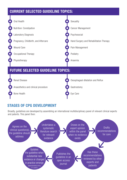#### CURRENT SELECTED GUIDELINE TOPICS:



#### STAGES OF CPG DEVELOPMENT

Broadly, guidelines are developed by assembling an international multidisciplinary panel of relevant clinical experts and patents. This panel then: